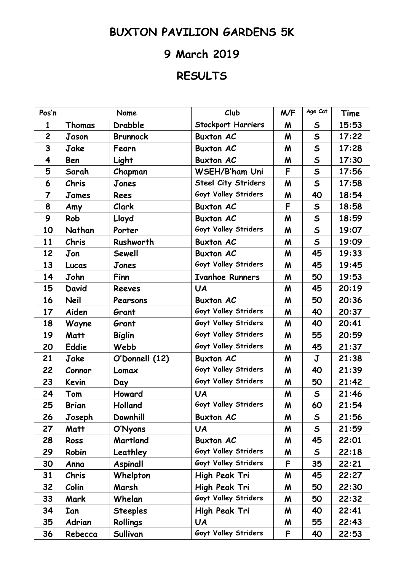## **BUXTON PAVILION GARDENS 5K**

## **9 March 2019**

## **RESULTS**

| Pos'n                   |              | Name            | Club                       | M/F | Age Cat      | Time  |
|-------------------------|--------------|-----------------|----------------------------|-----|--------------|-------|
| 1                       | Thomas       | Drabble         | <b>Stockport Harriers</b>  | M   | $\mathsf{s}$ | 15:53 |
| $\overline{c}$          | Jason        | <b>Brunnock</b> | <b>Buxton AC</b>           | M   | $\mathsf{s}$ | 17:22 |
| 3                       | Jake         | Fearn           | <b>Buxton AC</b>           | M   | $\mathsf{s}$ | 17:28 |
| $\overline{\mathbf{4}}$ | Ben          | Light           | <b>Buxton AC</b>           | M   | $\mathsf{s}$ | 17:30 |
| 5                       | Sarah        | Chapman         | <b>WSEH/B'ham Uni</b>      | F   | $\mathsf{s}$ | 17:56 |
| 6                       | <b>Chris</b> | Jones           | <b>Steel City Striders</b> | M   | $\mathsf{s}$ | 17:58 |
| $\overline{7}$          | James        | Rees            | Goyt Valley Striders       | M   | 40           | 18:54 |
| 8                       | Amy          | <b>Clark</b>    | <b>Buxton AC</b>           | F   | $\mathsf{s}$ | 18:58 |
| 9                       | Rob          | Lloyd           | <b>Buxton AC</b>           | M   | $\mathsf{s}$ | 18:59 |
| 10                      | Nathan       | Porter          | Goyt Valley Striders       | M   | $\mathsf{s}$ | 19:07 |
| 11                      | Chris        | Rushworth       | <b>Buxton AC</b>           | M   | $\mathsf{s}$ | 19:09 |
| 12                      | Jon          | Sewell          | <b>Buxton AC</b>           | M   | 45           | 19:33 |
| 13                      | Lucas        | Jones           | Goyt Valley Striders       | M   | 45           | 19:45 |
| 14                      | John         | Finn            | <b>Ivanhoe Runners</b>     | M   | 50           | 19:53 |
| 15                      | David        | <b>Reeves</b>   | <b>UA</b>                  | M   | 45           | 20:19 |
| 16                      | <b>Neil</b>  | Pearsons        | <b>Buxton AC</b>           | M   | 50           | 20:36 |
| 17                      | Aiden        | Grant           | Goyt Valley Striders       | M   | 40           | 20:37 |
| 18                      | Wayne        | Grant           | Goyt Valley Striders       | M   | 40           | 20:41 |
| 19                      | Matt         | <b>Biglin</b>   | Goyt Valley Striders       | M   | 55           | 20:59 |
| 20                      | <b>Eddie</b> | Webb            | Goyt Valley Striders       | M   | 45           | 21:37 |
| 21                      | Jake         | O'Donnell (12)  | <b>Buxton AC</b>           | M   | $\mathbf{J}$ | 21:38 |
| 22                      | Connor       | Lomax           | Goyt Valley Striders       | M   | 40           | 21:39 |
| 23                      | Kevin        | Day             | Goyt Valley Striders       | M   | 50           | 21:42 |
| 24                      | Tom          | Howard          | <b>UA</b>                  | M   | $\mathsf{S}$ | 21:46 |
| 25                      | <b>Brian</b> | Holland         | Goyt Valley Striders       | M   | 60           | 21:54 |
| 26                      | Joseph       | Downhill        | <b>Buxton AC</b>           | M   | $\mathsf{s}$ | 21:56 |
| 27                      | Matt         | O'Nyons         | <b>UA</b>                  | M   | $\mathsf{s}$ | 21:59 |
| 28                      | Ross         | Martland        | <b>Buxton AC</b>           | M   | 45           | 22:01 |
| 29                      | Robin        | Leathley        | Goyt Valley Striders       | M   | $\mathsf{s}$ | 22:18 |
| 30                      | Anna         | Aspinall        | Goyt Valley Striders       | F   | 35           | 22:21 |
| 31                      | <b>Chris</b> | Whelpton        | High Peak Tri              | M   | 45           | 22:27 |
| 32                      | Colin        | Marsh           | High Peak Tri              | M   | 50           | 22:30 |
| 33                      | Mark         | Whelan          | Goyt Valley Striders       | M   | 50           | 22:32 |
| 34                      | Ian          | <b>Steeples</b> | High Peak Tri              | M   | 40           | 22:41 |
| 35                      | Adrian       | Rollings        | <b>UA</b>                  | M   | 55           | 22:43 |
| 36                      | Rebecca      | Sullivan        | Goyt Valley Striders       | F   | 40           | 22:53 |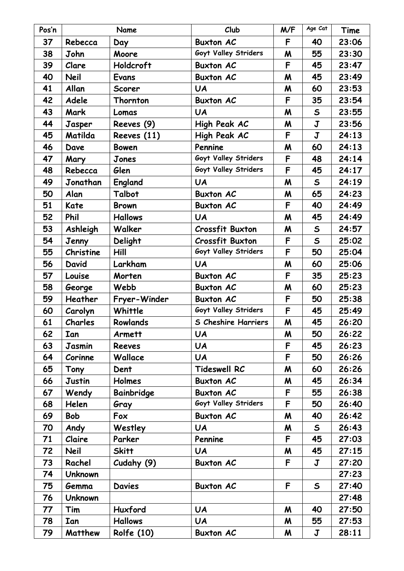| Pos'n |                | Name              | Club                       | M/F | Age Cat                 | Time  |
|-------|----------------|-------------------|----------------------------|-----|-------------------------|-------|
| 37    | Rebecca        | Day               | <b>Buxton AC</b>           | F   | 40                      | 23:06 |
| 38    | John           | Moore             | Goyt Valley Striders       | M   | 55                      | 23:30 |
| 39    | Clare          | Holdcroft         | <b>Buxton AC</b>           | F   | 45                      | 23:47 |
| 40    | <b>Neil</b>    | Evans             | <b>Buxton AC</b>           | M   | 45                      | 23:49 |
| 41    | Allan          | <b>Scorer</b>     | <b>UA</b>                  | M   | 60                      | 23:53 |
| 42    | Adele          | Thornton          | <b>Buxton AC</b>           | F   | 35                      | 23:54 |
| 43    | Mark           | Lomas             | <b>UA</b>                  | M   | $\mathsf{s}$            | 23:55 |
| 44    | Jasper         | Reeves (9)        | High Peak AC               | M   | $\overline{\mathbf{J}}$ | 23:56 |
| 45    | Matilda        | Reeves (11)       | High Peak AC               | F   | $\overline{\mathbf{J}}$ | 24:13 |
| 46    | Dave           | <b>Bowen</b>      | Pennine                    | M   | 60                      | 24:13 |
| 47    | Mary           | Jones             | Goyt Valley Striders       | F   | 48                      | 24:14 |
| 48    | Rebecca        | Glen              | Goyt Valley Striders       | F   | 45                      | 24:17 |
| 49    | Jonathan       | England           | <b>UA</b>                  | M   | $\mathsf{s}$            | 24:19 |
| 50    | Alan           | Talbot            | <b>Buxton AC</b>           | M   | 65                      | 24:23 |
| 51    | <b>Kate</b>    | <b>Brown</b>      | <b>Buxton AC</b>           | F   | 40                      | 24:49 |
| 52    | Phil           | <b>Hallows</b>    | <b>UA</b>                  | M   | 45                      | 24:49 |
| 53    | Ashleigh       | Walker            | <b>Crossfit Buxton</b>     | M   | $\mathsf{s}$            | 24:57 |
| 54    | Jenny          | Delight           | <b>Crossfit Buxton</b>     | F   | $\mathsf{s}$            | 25:02 |
| 55    | Christine      | Hill              | Goyt Valley Striders       | F   | 50                      | 25:04 |
| 56    | David          | Larkham           | <b>UA</b>                  | M   | 60                      | 25:06 |
| 57    | Louise         | Morten            | <b>Buxton AC</b>           | F   | 35                      | 25:23 |
| 58    | George         | Webb              | <b>Buxton AC</b>           | M   | 60                      | 25:23 |
| 59    | Heather        | Fryer-Winder      | <b>Buxton AC</b>           | F   | 50                      | 25:38 |
| 60    | Carolyn        | Whittle           | Goyt Valley Striders       | F   | 45                      | 25:49 |
| 61    | Charles        | Rowlands          | <b>S Cheshire Harriers</b> | M   | 45                      | 26:20 |
| 62    | Ian            | Armett            | <b>UA</b>                  | M   | 50                      | 26:22 |
| 63    | Jasmin         | <b>Reeves</b>     | <b>UA</b>                  | F   | 45                      | 26:23 |
| 64    | Corinne        | Wallace           | <b>UA</b>                  | F   | 50                      | 26:26 |
| 65    | Tony           | Dent              | <b>Tideswell RC</b>        | M   | 60                      | 26:26 |
| 66    | Justin         | Holmes            | <b>Buxton AC</b>           | M   | 45                      | 26:34 |
| 67    | Wendy          | Bainbridge        | <b>Buxton AC</b>           | F   | 55                      | 26:38 |
| 68    | Helen          | Gray              | Goyt Valley Striders       | F.  | 50                      | 26:40 |
| 69    | <b>Bob</b>     | Fox               | <b>Buxton AC</b>           | M   | 40                      | 26:42 |
| 70    | Andy           | Westley           | <b>UA</b>                  | M   | $\mathsf{S}$            | 26:43 |
| 71    | Claire         | Parker            | Pennine                    | F   | 45                      | 27:03 |
| 72    | <b>Neil</b>    | <b>Skitt</b>      | <b>UA</b>                  | M   | 45                      | 27:15 |
| 73    | Rachel         | Cudahy (9)        | <b>Buxton AC</b>           | F   | $\mathbf J$             | 27:20 |
| 74    | <b>Unknown</b> |                   |                            |     |                         | 27:23 |
| 75    | Gemma          | <b>Davies</b>     | <b>Buxton AC</b>           | F   | $\mathsf{s}$            | 27:40 |
| 76    | <b>Unknown</b> |                   |                            |     |                         | 27:48 |
| 77    | Tim            | Huxford           | <b>UA</b>                  | M   | 40                      | 27:50 |
| 78    | Ian            | <b>Hallows</b>    | <b>UA</b>                  | M   | 55                      | 27:53 |
| 79    | Matthew        | <b>Rolfe (10)</b> | <b>Buxton AC</b>           | M   | $\mathbf J$             | 28:11 |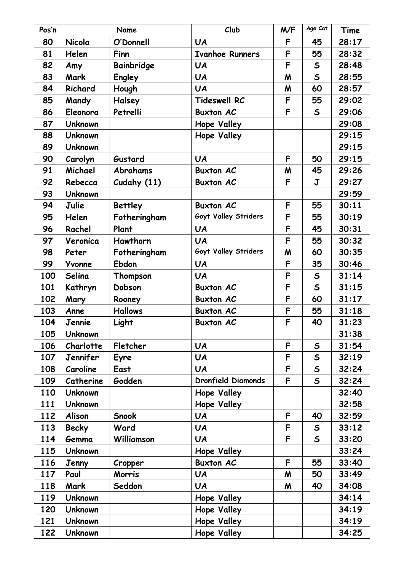| Pos'n |                | Name           | Club                      | M/F | Age Cat      | Time  |
|-------|----------------|----------------|---------------------------|-----|--------------|-------|
| 80    | Nicola         | O'Donnell      | <b>UA</b>                 | F   | 45           | 28:17 |
| 81    | Helen          | Finn           | <b>Ivanhoe Runners</b>    | F   | 55           | 28:32 |
| 82    | Amy            | Bainbridge     | <b>UA</b>                 | F   | $\mathsf{S}$ | 28:48 |
| 83    | Mark           | Engley         | <b>UA</b>                 | M   | $\mathsf{s}$ | 28:55 |
| 84    | Richard        | Hough          | <b>UA</b>                 | M   | 60           | 28:57 |
| 85    | Mandy          | Halsey         | <b>Tideswell RC</b>       | F   | 55           | 29:02 |
| 86    | Eleonora       | Petrelli       | <b>Buxton AC</b>          | F   | $\mathsf{s}$ | 29:06 |
| 87    | <b>Unknown</b> |                | Hope Valley               |     |              | 29:08 |
| 88    | <b>Unknown</b> |                | Hope Valley               |     |              | 29:15 |
| 89    | <b>Unknown</b> |                |                           |     |              | 29:15 |
| 90    | Carolyn        | Gustard        | <b>UA</b>                 | F   | 50           | 29:15 |
| 91    | Michael        | Abrahams       | <b>Buxton AC</b>          | M   | 45           | 29:26 |
| 92    | Rebecca        | Cudahy (11)    | <b>Buxton AC</b>          | F   | $\mathbf J$  | 29:27 |
| 93    | <b>Unknown</b> |                |                           |     |              | 29:59 |
| 94    | Julie          | <b>Bettley</b> | <b>Buxton AC</b>          | F   | 55           | 30:11 |
| 95    | Helen          | Fotheringham   | Goyt Valley Striders      | F   | 55           | 30:19 |
| 96    | Rachel         | Plant          | <b>UA</b>                 | F   | 45           | 30:31 |
| 97    | Veronica       | Hawthorn       | <b>UA</b>                 | F   | 55           | 30:32 |
| 98    | Peter          | Fotheringham   | Goyt Valley Striders      | M   | 60           | 30:35 |
| 99    | Yvonne         | Ebdon          | <b>UA</b>                 | F   | 35           | 30:46 |
| 100   | Selina         | Thompson       | <b>UA</b>                 | F   | $\mathsf{s}$ | 31:14 |
| 101   | Kathryn        | Dobson         | <b>Buxton AC</b>          | F   | $\mathsf{s}$ | 31:15 |
| 102   | Mary           | Rooney         | <b>Buxton AC</b>          | F   | 60           | 31:17 |
| 103   | Anne           | <b>Hallows</b> | <b>Buxton AC</b>          | F   | 55           | 31:18 |
| 104   | Jennie         | Light          | <b>Buxton AC</b>          | F   | 40           | 31:23 |
| 105   | <b>Unknown</b> |                |                           |     |              | 31:38 |
| 106   | Charlotte      | Fletcher       | <b>UA</b>                 | F   | $\mathsf{s}$ | 31:54 |
| 107   | Jennifer       | Eyre           | <b>UA</b>                 | F   | $\mathsf{s}$ | 32:19 |
| 108   | Caroline       | East           | <b>UA</b>                 | F   | $\mathsf{s}$ | 32:24 |
| 109   | Catherine      | Godden         | <b>Dronfield Diamonds</b> | F   | $\mathsf{s}$ | 32:24 |
| 110   | <b>Unknown</b> |                | Hope Valley               |     |              | 32:40 |
| 111   | <b>Unknown</b> |                | Hope Valley               |     |              | 32:58 |
| 112   | Alison         | <b>Snook</b>   | <b>UA</b>                 | F   | 40           | 32:59 |
| 113   | <b>Becky</b>   | Ward           | <b>UA</b>                 | F   | $\mathsf{S}$ | 33:12 |
| 114   | Gemma          | Williamson     | <b>UA</b>                 | F   | $\mathsf{s}$ | 33:20 |
| 115   | <b>Unknown</b> |                | Hope Valley               |     |              | 33:24 |
| 116   | Jenny          | Cropper        | <b>Buxton AC</b>          | F   | 55           | 33:40 |
| 117   | Paul           | Morris         | <b>UA</b>                 | M   | 50           | 33:49 |
| 118   | Mark           | Seddon         | <b>UA</b>                 | M   | 40           | 34:08 |
| 119   | <b>Unknown</b> |                | Hope Valley               |     |              | 34:14 |
| 120   | <b>Unknown</b> |                | Hope Valley               |     |              | 34:19 |
| 121   | <b>Unknown</b> |                | Hope Valley               |     |              | 34:19 |
| 122   | <b>Unknown</b> |                | Hope Valley               |     |              | 34:25 |